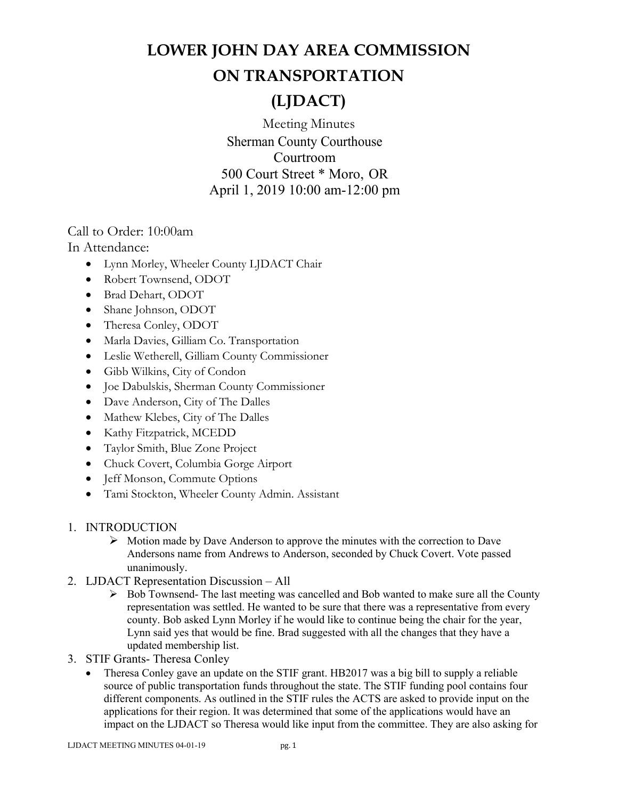# **LOWER JOHN DAY AREA COMMISSION**

### **ON TRANSPORTATION**

## **(LJDACT)**

Meeting Minutes Sherman County Courthouse Courtroom 500 Court Street \* Moro, OR April 1, 2019 10:00 am-12:00 pm

Call to Order: 10:00am

In Attendance:

- Lynn Morley, Wheeler County LJDACT Chair
- Robert Townsend, ODOT
- Brad Dehart, ODOT
- Shane Johnson, ODOT
- Theresa Conley, ODOT
- Marla Davies, Gilliam Co. Transportation
- Leslie Wetherell, Gilliam County Commissioner
- Gibb Wilkins, City of Condon
- Joe Dabulskis, Sherman County Commissioner
- Dave Anderson, City of The Dalles
- Mathew Klebes, City of The Dalles
- Kathy Fitzpatrick, MCEDD
- Taylor Smith, Blue Zone Project
- Chuck Covert, Columbia Gorge Airport
- Jeff Monson, Commute Options
- Tami Stockton, Wheeler County Admin. Assistant
- 1. INTRODUCTION
	- $\triangleright$  Motion made by Dave Anderson to approve the minutes with the correction to Dave Andersons name from Andrews to Anderson, seconded by Chuck Covert. Vote passed unanimously.
- 2. LJDACT Representation Discussion All
	- $\triangleright$  Bob Townsend- The last meeting was cancelled and Bob wanted to make sure all the County representation was settled. He wanted to be sure that there was a representative from every county. Bob asked Lynn Morley if he would like to continue being the chair for the year, Lynn said yes that would be fine. Brad suggested with all the changes that they have a updated membership list.
- 3. STIF Grants- Theresa Conley
	- Theresa Conley gave an update on the STIF grant. HB2017 was a big bill to supply a reliable source of public transportation funds throughout the state. The STIF funding pool contains four different components. As outlined in the STIF rules the ACTS are asked to provide input on the applications for their region. It was determined that some of the applications would have an impact on the LJDACT so Theresa would like input from the committee. They are also asking for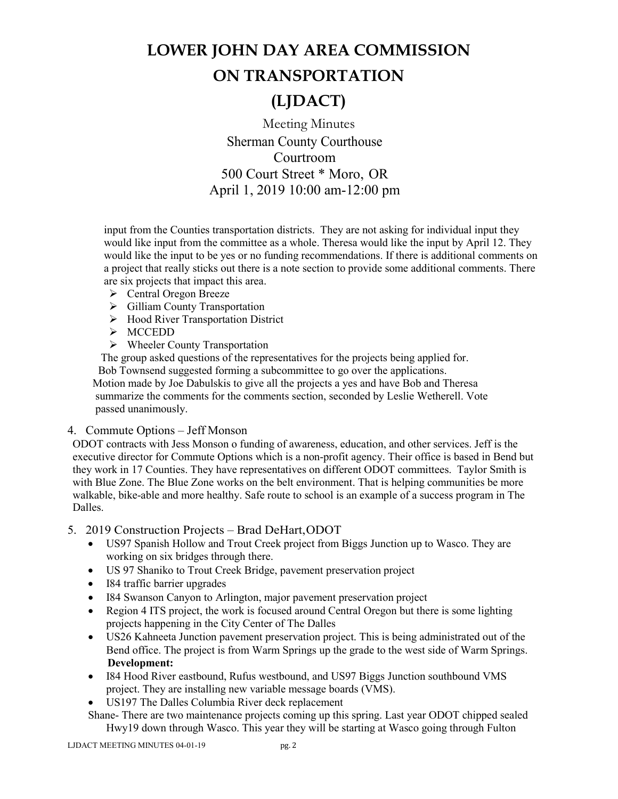# **LOWER JOHN DAY AREA COMMISSION ON TRANSPORTATION**

### **(LJDACT)**

Meeting Minutes Sherman County Courthouse Courtroom 500 Court Street \* Moro, OR April 1, 2019 10:00 am-12:00 pm

input from the Counties transportation districts. They are not asking for individual input they would like input from the committee as a whole. Theresa would like the input by April 12. They would like the input to be yes or no funding recommendations. If there is additional comments on a project that really sticks out there is a note section to provide some additional comments. There are six projects that impact this area.

- $\triangleright$  Central Oregon Breeze
- Gilliam County Transportation
- > Hood River Transportation District
- > MCCEDD
- $\triangleright$  Wheeler County Transportation

 The group asked questions of the representatives for the projects being applied for. Bob Townsend suggested forming a subcommittee to go over the applications.

 Motion made by Joe Dabulskis to give all the projects a yes and have Bob and Theresa summarize the comments for the comments section, seconded by Leslie Wetherell. Vote passed unanimously.

#### 4. Commute Options – Jeff Monson

ODOT contracts with Jess Monson o funding of awareness, education, and other services. Jeff is the executive director for Commute Options which is a non-profit agency. Their office is based in Bend but they work in 17 Counties. They have representatives on different ODOT committees. Taylor Smith is with Blue Zone. The Blue Zone works on the belt environment. That is helping communities be more walkable, bike-able and more healthy. Safe route to school is an example of a success program in The Dalles.

#### 5. 2019 Construction Projects – Brad DeHart,ODOT

- US97 Spanish Hollow and Trout Creek project from Biggs Junction up to Wasco. They are working on six bridges through there.
- US 97 Shaniko to Trout Creek Bridge, pavement preservation project
- I84 traffic barrier upgrades
- I84 Swanson Canyon to Arlington, major pavement preservation project
- Region 4 ITS project, the work is focused around Central Oregon but there is some lighting projects happening in the City Center of The Dalles
- US26 Kahneeta Junction pavement preservation project. This is being administrated out of the Bend office. The project is from Warm Springs up the grade to the west side of Warm Springs. **Development:**
- I84 Hood River eastbound, Rufus westbound, and US97 Biggs Junction southbound VMS project. They are installing new variable message boards (VMS).
- US197 The Dalles Columbia River deck replacement

Shane- There are two maintenance projects coming up this spring. Last year ODOT chipped sealed Hwy19 down through Wasco. This year they will be starting at Wasco going through Fulton

LJDACT MEETING MINUTES 04-01-19 pg. 2